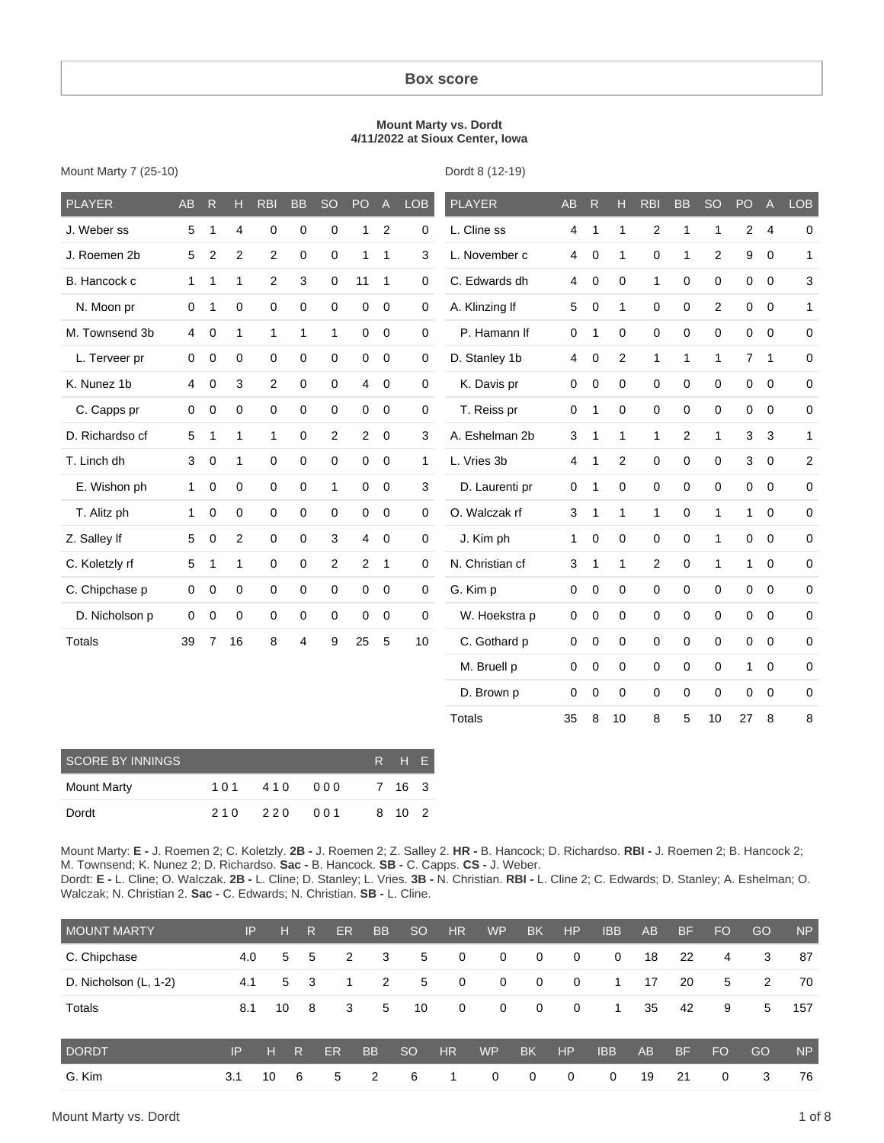#### **Box score**

#### **Mount Marty vs. Dordt 4/11/2022 at Sioux Center, Iowa**

Dordt 8 (12-19)

| <b>PLAYER</b>   | <b>AB</b>      | $\mathsf{R}$   | Н              | <b>RBI</b>     | <b>BB</b>      | <b>SO</b>      | PO             | $\mathsf{A}$   | <b>LOB</b>  | <b>PLAYER</b>   | <b>AB</b>      | R            | Н              | <b>RBI</b>     | <b>BB</b>      | <b>SO</b>      | PO             | A              | <b>LOB</b>     |
|-----------------|----------------|----------------|----------------|----------------|----------------|----------------|----------------|----------------|-------------|-----------------|----------------|--------------|----------------|----------------|----------------|----------------|----------------|----------------|----------------|
| J. Weber ss     | 5              | $\mathbf 1$    | 4              | 0              | $\mathbf 0$    | 0              | $\mathbf{1}$   | 2              | $\mathbf 0$ | L. Cline ss     | $\overline{4}$ | 1            | $\mathbf 1$    | $\overline{c}$ | 1              | 1              | $\overline{2}$ | $\overline{4}$ | 0              |
| J. Roemen 2b    | 5              | $\overline{c}$ | $\overline{2}$ | $\overline{2}$ | 0              | 0              | 1              | $\mathbf 1$    | 3           | L. November c   | $\overline{4}$ | 0            | $\mathbf{1}$   | $\mathbf 0$    | 1              | 2              | 9              | $\mathbf 0$    | $\mathbf{1}$   |
| B. Hancock c    | 1              | 1              | 1              | $\overline{2}$ | 3              | 0              | 11             | $\mathbf{1}$   | $\mathbf 0$ | C. Edwards dh   | $\overline{4}$ | $\mathbf 0$  | $\mathbf 0$    | $\mathbf{1}$   | 0              | 0              | 0              | $\mathbf 0$    | 3              |
| N. Moon pr      | 0              | $\mathbf{1}$   | 0              | $\mathbf 0$    | $\mathbf 0$    | $\mathbf 0$    | 0              | $\overline{0}$ | 0           | A. Klinzing If  | 5              | $\mathbf 0$  | $\mathbf{1}$   | $\mathbf 0$    | $\mathbf 0$    | $\overline{c}$ | 0              | $\mathbf 0$    | $\mathbf{1}$   |
| M. Townsend 3b  | $\overline{4}$ | $\pmb{0}$      | 1              | $\mathbf{1}$   | $\mathbf{1}$   | 1              | 0              | $\mathbf 0$    | 0           | P. Hamann If    | 0              | $\mathbf{1}$ | 0              | $\mathbf 0$    | $\mathbf 0$    | $\mathbf 0$    | 0              | $\mathbf 0$    | 0              |
| L. Terveer pr   | $\mathbf 0$    | 0              | 0              | $\mathbf 0$    | 0              | $\mathbf 0$    | 0              | 0              | 0           | D. Stanley 1b   | $\overline{4}$ | 0            | 2              | $\mathbf{1}$   | $\mathbf{1}$   | 1              | $\overline{7}$ | $\mathbf{1}$   | 0              |
| K. Nunez 1b     | $\overline{4}$ | $\mathbf 0$    | 3              | $\overline{2}$ | $\mathbf 0$    | $\Omega$       | 4              | $\overline{0}$ | 0           | K. Davis pr     | $\mathbf 0$    | 0            | $\mathbf 0$    | $\Omega$       | 0              | $\Omega$       | $\mathbf 0$    | $\mathbf 0$    | 0              |
| C. Capps pr     | $\mathbf 0$    | 0              | $\Omega$       | $\Omega$       | 0              | 0              | 0              | $\mathbf 0$    | $\mathbf 0$ | T. Reiss pr     | $\mathbf 0$    | 1            | $\Omega$       | $\Omega$       | 0              | $\Omega$       | 0              | $\mathbf 0$    | 0              |
| D. Richardso cf | 5              | $\mathbf{1}$   | 1              | $\mathbf{1}$   | $\mathbf 0$    | $\overline{c}$ | $\overline{2}$ | $\overline{0}$ | 3           | A. Eshelman 2b  | 3              | 1            | $\mathbf{1}$   | $\mathbf{1}$   | $\overline{2}$ | 1              | 3              | 3              | 1              |
| T. Linch dh     | 3              | $\mathbf 0$    | 1              | $\mathbf 0$    | 0              | $\mathbf 0$    | 0              | $\mathbf 0$    | 1           | L. Vries 3b     | $\overline{4}$ | 1            | $\overline{c}$ | $\mathbf 0$    | $\mathbf 0$    | $\mathbf 0$    | 3              | $\mathbf 0$    | $\overline{2}$ |
| E. Wishon ph    | $\mathbf{1}$   | $\mathbf 0$    | 0              | $\mathbf 0$    | 0              | 1              | 0              | $\mathbf 0$    | 3           | D. Laurenti pr  | $\mathbf 0$    | 1            | 0              | $\mathbf 0$    | 0              | 0              | 0              | 0              | 0              |
| T. Alitz ph     | $\mathbf{1}$   | 0              | 0              | $\mathbf 0$    | 0              | $\mathbf 0$    | 0              | $\mathbf 0$    | $\mathbf 0$ | O. Walczak rf   | 3              | $\mathbf{1}$ | $\mathbf{1}$   | $\mathbf{1}$   | 0              | 1              | $\mathbf{1}$   | $\mathbf 0$    | 0              |
| Z. Salley If    | 5              | 0              | $\overline{2}$ | $\mathbf 0$    | 0              | 3              | 4              | $\mathbf 0$    | 0           | J. Kim ph       | $\mathbf{1}$   | $\mathbf 0$  | $\mathbf 0$    | $\mathbf 0$    | 0              | 1              | 0              | $\mathbf 0$    | 0              |
| C. Koletzly rf  | 5              | $\mathbf 1$    | 1              | $\mathbf 0$    | 0              | 2              | $\overline{2}$ | $\mathbf 1$    | $\mathbf 0$ | N. Christian cf | 3              | 1            | $\mathbf{1}$   | $\overline{2}$ | 0              | 1              | $\mathbf{1}$   | $\mathbf 0$    | 0              |
| C. Chipchase p  | $\mathbf 0$    | 0              | 0              | $\mathbf 0$    | 0              | $\mathbf 0$    | 0              | $\mathbf 0$    | $\mathbf 0$ | G. Kim p        | $\mathbf 0$    | $\mathbf 0$  | $\mathbf 0$    | $\mathbf 0$    | 0              | $\mathbf 0$    | 0              | $\mathbf 0$    | 0              |
| D. Nicholson p  | 0              | $\mathbf 0$    | 0              | $\mathbf 0$    | 0              | $\mathbf 0$    | 0              | $\mathbf 0$    | 0           | W. Hoekstra p   | 0              | 0            | $\mathbf 0$    | $\mathbf 0$    | 0              | $\mathbf 0$    | 0              | 0              | 0              |
| <b>Totals</b>   | 39             | $\overline{7}$ | 16             | 8              | $\overline{4}$ | 9              | 25             | 5              | 10          | C. Gothard p    | $\mathbf 0$    | 0            | 0              | $\mathbf 0$    | 0              | $\mathbf 0$    | 0              | $\mathbf 0$    | 0              |
|                 |                |                |                |                |                |                |                |                |             | M. Bruell p     | 0              | 0            | $\mathbf 0$    | $\mathbf 0$    | $\mathbf 0$    | $\mathbf 0$    | 1              | $\mathbf 0$    | 0              |
|                 |                |                |                |                |                |                |                |                |             | D. Brown p      | $\mathbf 0$    | $\mathbf 0$  | $\mathbf 0$    | $\mathbf 0$    | 0              | $\mathbf 0$    | $\mathbf 0$    | $\mathbf 0$    | 0              |
|                 |                |                |                |                |                |                |                |                |             | <b>Totals</b>   | 35             | 8            | 10             | 8              | 5              | 10             | 27             | 8              | 8              |

| SCORE BY INNINGS |     |     |     | R H E  |  |
|------------------|-----|-----|-----|--------|--|
| Mount Marty      | 101 | 410 | 000 | 7 16 3 |  |
| Dordt            | 210 | 220 | 001 | 8 10 2 |  |

Mount Marty: **E -** J. Roemen 2; C. Koletzly. **2B -** J. Roemen 2; Z. Salley 2. **HR -** B. Hancock; D. Richardso. **RBI -** J. Roemen 2; B. Hancock 2; M. Townsend; K. Nunez 2; D. Richardso. **Sac -** B. Hancock. **SB -** C. Capps. **CS -** J. Weber.

Dordt: **E -** L. Cline; O. Walczak. **2B -** L. Cline; D. Stanley; L. Vries. **3B -** N. Christian. **RBI -** L. Cline 2; C. Edwards; D. Stanley; A. Eshelman; O. Walczak; N. Christian 2. **Sac -** C. Edwards; N. Christian. **SB -** L. Cline.

| <b>MOUNT MARTY</b>    | IP  | н  | R.          | ER. | <b>BB</b> | -SO            | HR.            | WP             | <b>BK</b>      | <b>HP</b>               | <b>IBB</b>   | AB | <b>BF</b> | <b>FO</b> | GO | <b>NP</b> |
|-----------------------|-----|----|-------------|-----|-----------|----------------|----------------|----------------|----------------|-------------------------|--------------|----|-----------|-----------|----|-----------|
| C. Chipchase          | 4.0 | 5  | - 5         | 2   | 3         | 5 <sup>5</sup> | $\overline{0}$ | $\mathbf{0}$   | $\overline{0}$ | $\overline{0}$          | $\mathbf{0}$ | 18 | 22        | 4         | 3  | 87        |
| D. Nicholson (L, 1-2) | 4.1 |    | $5 \quad 3$ |     | 2         | 5 <sup>5</sup> | $\mathbf{0}$   | $\mathbf{0}$   | $\overline{0}$ | $\overline{\mathbf{0}}$ | 1            | 17 | 20        | 5         | 2  | 70        |
| Totals                | 8.1 | 10 | 8           | 3   | 5         | 10             | $\overline{0}$ | $\overline{0}$ | 0              | $\overline{\mathbf{0}}$ | -1           | 35 | 42        | 9         | 5  | 157       |
|                       |     |    |             |     |           |                |                |                |                |                         |              |    |           |           |    |           |
| <b>DORDT</b>          | IP  | н  | R           | ER. | <b>BB</b> | <b>SO</b>      | <b>HR</b>      | <b>WP</b>      | <b>BK</b>      | HP.                     | <b>IBB</b>   | AB | <b>BF</b> | <b>FO</b> | GO | <b>NP</b> |

G. Kim 3.1 10 6 5 2 6 1 0 0 0 0 19 21 0 3 76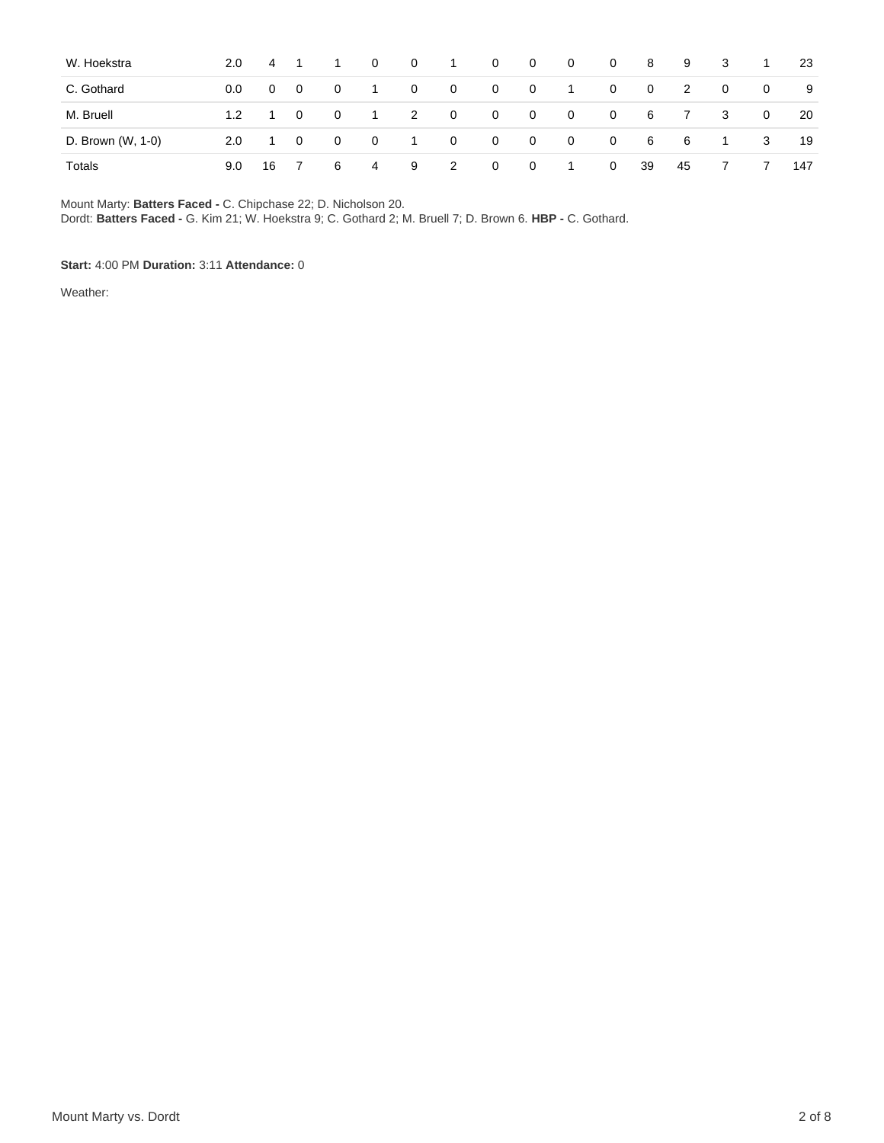| W. Hoekstra       | 2.0 |                | 4 1                     |             | $\mathbf{0}$            | $\overline{0}$ | $\sim$ 1                | $\overline{0}$          | $\overline{0}$          | $\overline{0}$           | $\overline{0}$ | - 8                     | 9                          | - 3            | -1             | 23  |
|-------------------|-----|----------------|-------------------------|-------------|-------------------------|----------------|-------------------------|-------------------------|-------------------------|--------------------------|----------------|-------------------------|----------------------------|----------------|----------------|-----|
| C. Gothard        | 0.0 | $\mathbf{0}$   | $\overline{\mathbf{0}}$ | $\mathbf 0$ | $\overline{1}$          | $\overline{0}$ | $\overline{0}$          | $\overline{\mathbf{0}}$ | $\overline{\mathbf{0}}$ | $\overline{1}$           | $\overline{0}$ | $\overline{\mathbf{0}}$ | $\overline{\phantom{a}}$ 2 | $\overline{0}$ | $\overline{0}$ | - 9 |
| M. Bruell         | 1.2 | $\overline{1}$ | $\overline{0}$          | $\mathbf 0$ | $\overline{1}$          | $\overline{2}$ | $\overline{\mathbf{0}}$ | $\overline{\mathbf{0}}$ | $\overline{\mathbf{0}}$ | $\overline{\phantom{0}}$ | $\overline{0}$ | 6                       | $\overline{7}$             | -3             | $\overline{0}$ | -20 |
| D. Brown (W, 1-0) | 2.0 | $\overline{1}$ | $\overline{0}$          | $\mathbf 0$ | $\overline{\mathbf{0}}$ | $\sim$ 1       | $\overline{0}$          | $\overline{0}$          | $\overline{\mathbf{0}}$ | $\overline{\phantom{0}}$ | $\overline{0}$ | - 6                     | 6                          | $\overline{1}$ | 3              | 19  |
| Totals            | 9.0 | 16             | $\overline{7}$          | 6           | $\overline{4}$          | 9              | $\overline{2}$          | $\Omega$                | $\overline{0}$          | $\sim$ 1                 | $\overline{0}$ | 39                      | 45                         |                |                | 147 |

Mount Marty: **Batters Faced -** C. Chipchase 22; D. Nicholson 20.

Dordt: **Batters Faced -** G. Kim 21; W. Hoekstra 9; C. Gothard 2; M. Bruell 7; D. Brown 6. **HBP -** C. Gothard.

#### **Start:** 4:00 PM **Duration:** 3:11 **Attendance:** 0

Weather: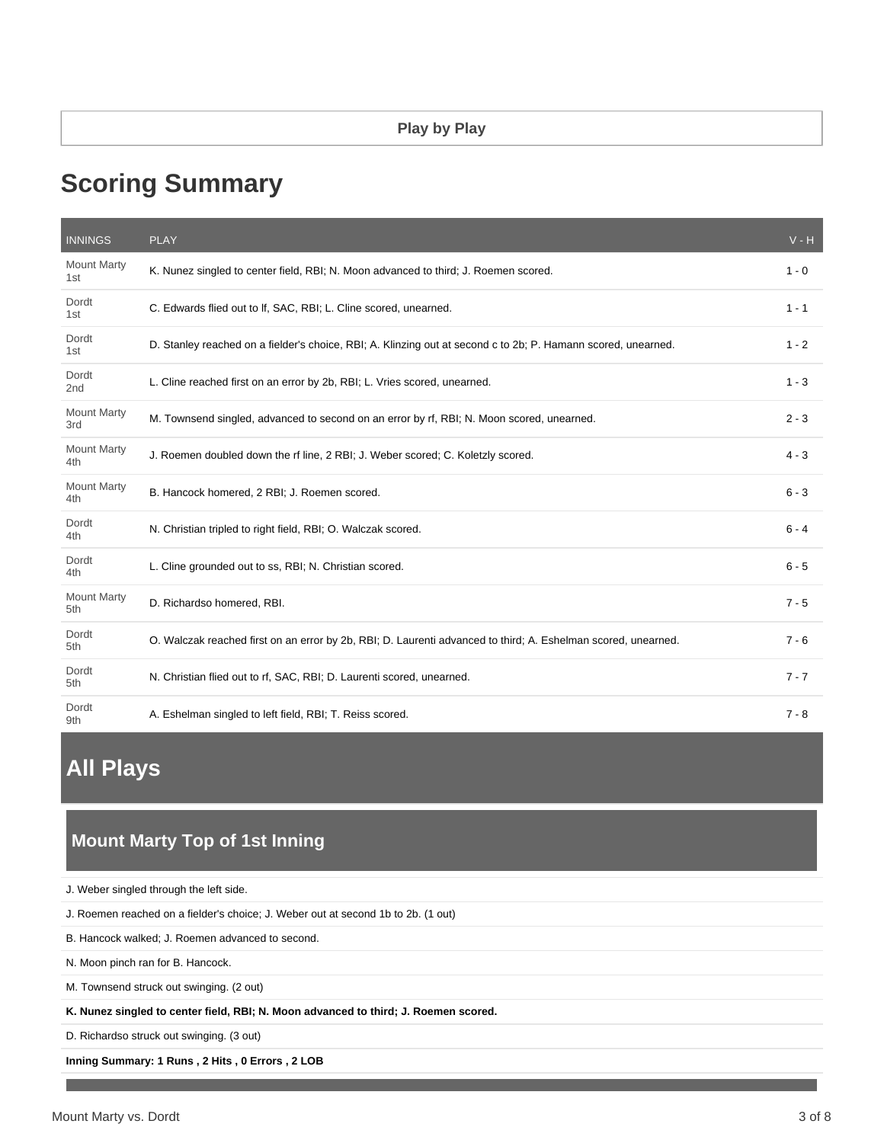# **Scoring Summary**

| <b>INNINGS</b>            | <b>PLAY</b>                                                                                                   | $V - H$ |
|---------------------------|---------------------------------------------------------------------------------------------------------------|---------|
| <b>Mount Marty</b><br>1st | K. Nunez singled to center field, RBI; N. Moon advanced to third; J. Roemen scored.                           | $1 - 0$ |
| Dordt<br>1st              | C. Edwards flied out to If, SAC, RBI; L. Cline scored, unearned.                                              | $1 - 1$ |
| Dordt<br>1st              | D. Stanley reached on a fielder's choice, RBI; A. Klinzing out at second c to 2b; P. Hamann scored, unearned. | $1 - 2$ |
| Dordt<br>2 <sub>nd</sub>  | L. Cline reached first on an error by 2b, RBI; L. Vries scored, unearned.                                     | $1 - 3$ |
| <b>Mount Marty</b><br>3rd | M. Townsend singled, advanced to second on an error by rf, RBI; N. Moon scored, unearned.                     | $2 - 3$ |
| <b>Mount Marty</b><br>4th | J. Roemen doubled down the rf line, 2 RBI; J. Weber scored; C. Koletzly scored.                               | $4 - 3$ |
| <b>Mount Marty</b><br>4th | B. Hancock homered, 2 RBI; J. Roemen scored.                                                                  | $6 - 3$ |
| Dordt<br>4th              | N. Christian tripled to right field, RBI; O. Walczak scored.                                                  | $6 - 4$ |
| Dordt<br>4th              | L. Cline grounded out to ss, RBI; N. Christian scored.                                                        | $6 - 5$ |
| <b>Mount Marty</b><br>5th | D. Richardso homered, RBI.                                                                                    | $7 - 5$ |
| Dordt<br>5th              | O. Walczak reached first on an error by 2b, RBI; D. Laurenti advanced to third; A. Eshelman scored, unearned. | $7 - 6$ |
| Dordt<br>5th              | N. Christian flied out to rf, SAC, RBI; D. Laurenti scored, unearned.                                         | $7 - 7$ |
| Dordt<br>9th              | A. Eshelman singled to left field, RBI; T. Reiss scored.                                                      | $7 - 8$ |

# **All Plays**

# **Mount Marty Top of 1st Inning**

| J. Weber singled through the left side. |  |  |
|-----------------------------------------|--|--|
|                                         |  |  |

J. Roemen reached on a fielder's choice; J. Weber out at second 1b to 2b. (1 out)

B. Hancock walked; J. Roemen advanced to second.

N. Moon pinch ran for B. Hancock.

M. Townsend struck out swinging. (2 out)

**K. Nunez singled to center field, RBI; N. Moon advanced to third; J. Roemen scored.**

D. Richardso struck out swinging. (3 out)

**Inning Summary: 1 Runs , 2 Hits , 0 Errors , 2 LOB**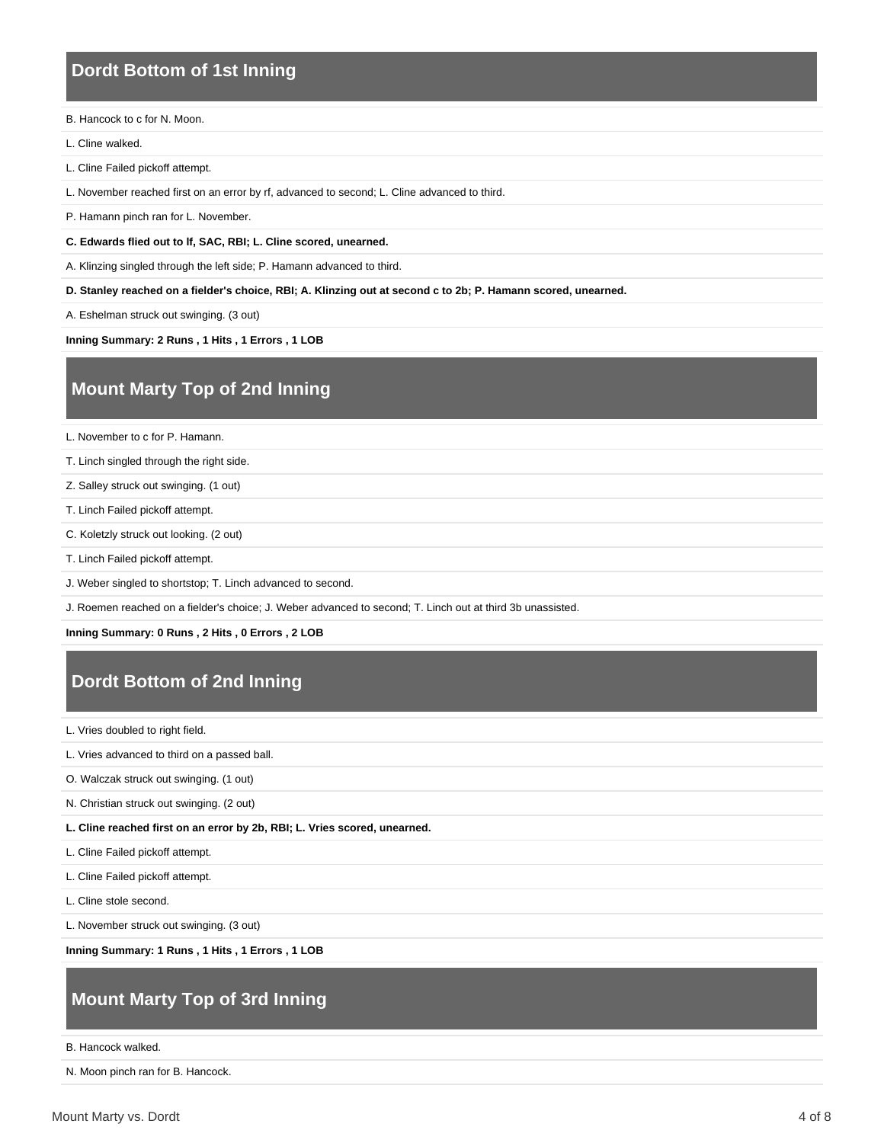### **Dordt Bottom of 1st Inning**

#### B. Hancock to c for N. Moon.

L. Cline walked.

L. Cline Failed pickoff attempt.

L. November reached first on an error by rf, advanced to second; L. Cline advanced to third.

P. Hamann pinch ran for L. November.

**C. Edwards flied out to lf, SAC, RBI; L. Cline scored, unearned.**

A. Klinzing singled through the left side; P. Hamann advanced to third.

**D. Stanley reached on a fielder's choice, RBI; A. Klinzing out at second c to 2b; P. Hamann scored, unearned.**

A. Eshelman struck out swinging. (3 out)

**Inning Summary: 2 Runs , 1 Hits , 1 Errors , 1 LOB**

# **Mount Marty Top of 2nd Inning**

L. November to c for P. Hamann.

T. Linch singled through the right side.

Z. Salley struck out swinging. (1 out)

T. Linch Failed pickoff attempt.

C. Koletzly struck out looking. (2 out)

- T. Linch Failed pickoff attempt.
- J. Weber singled to shortstop; T. Linch advanced to second.
- J. Roemen reached on a fielder's choice; J. Weber advanced to second; T. Linch out at third 3b unassisted.

**Inning Summary: 0 Runs , 2 Hits , 0 Errors , 2 LOB**

# **Dordt Bottom of 2nd Inning**

L. Vries doubled to right field.

L. Vries advanced to third on a passed ball.

- O. Walczak struck out swinging. (1 out)
- N. Christian struck out swinging. (2 out)

**L. Cline reached first on an error by 2b, RBI; L. Vries scored, unearned.**

L. Cline Failed pickoff attempt.

L. Cline Failed pickoff attempt.

L. Cline stole second.

L. November struck out swinging. (3 out)

**Inning Summary: 1 Runs , 1 Hits , 1 Errors , 1 LOB**

# **Mount Marty Top of 3rd Inning**

B. Hancock walked.

N. Moon pinch ran for B. Hancock.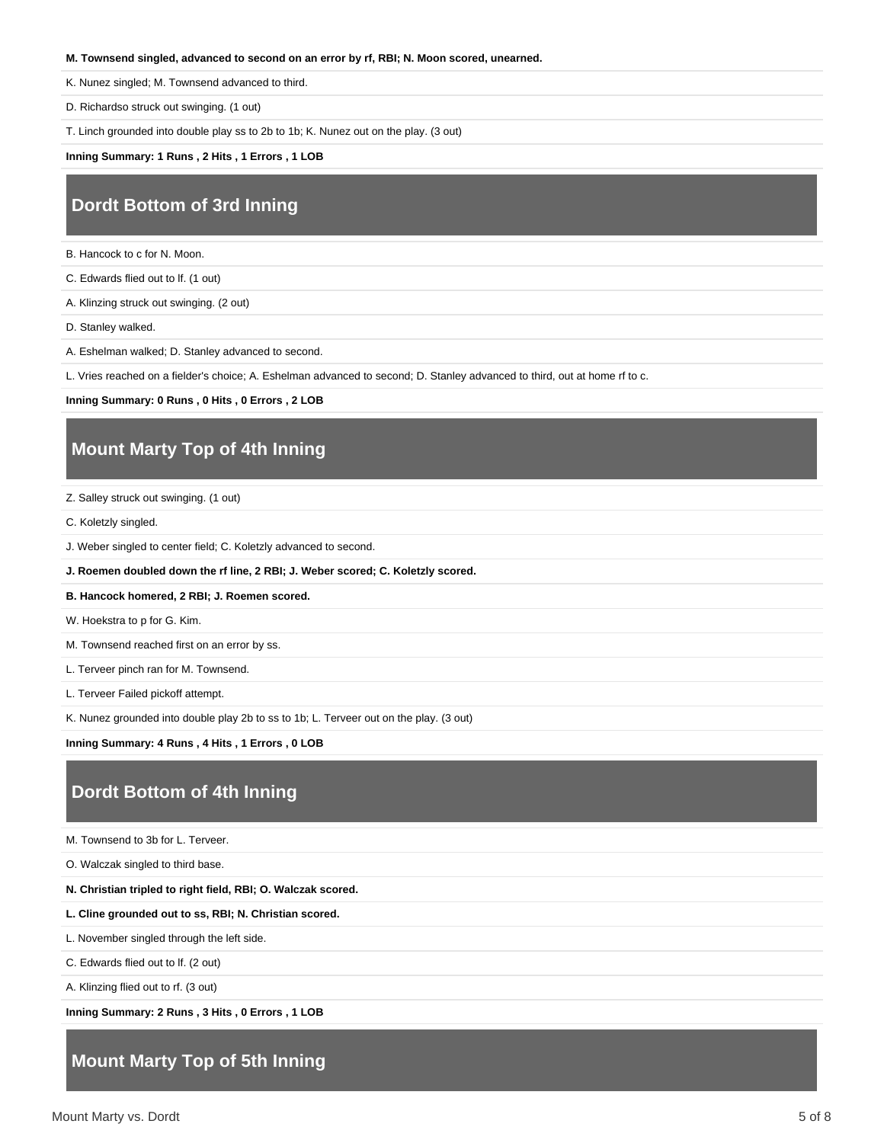#### **M. Townsend singled, advanced to second on an error by rf, RBI; N. Moon scored, unearned.**

K. Nunez singled; M. Townsend advanced to third.

D. Richardso struck out swinging. (1 out)

T. Linch grounded into double play ss to 2b to 1b; K. Nunez out on the play. (3 out)

**Inning Summary: 1 Runs , 2 Hits , 1 Errors , 1 LOB**

# **Dordt Bottom of 3rd Inning**

B. Hancock to c for N. Moon.

C. Edwards flied out to lf. (1 out)

A. Klinzing struck out swinging. (2 out)

D. Stanley walked.

A. Eshelman walked; D. Stanley advanced to second.

L. Vries reached on a fielder's choice; A. Eshelman advanced to second; D. Stanley advanced to third, out at home rf to c.

**Inning Summary: 0 Runs , 0 Hits , 0 Errors , 2 LOB**

### **Mount Marty Top of 4th Inning**

Z. Salley struck out swinging. (1 out)

C. Koletzly singled.

J. Weber singled to center field; C. Koletzly advanced to second.

**J. Roemen doubled down the rf line, 2 RBI; J. Weber scored; C. Koletzly scored.**

**B. Hancock homered, 2 RBI; J. Roemen scored.**

W. Hoekstra to p for G. Kim.

M. Townsend reached first on an error by ss.

L. Terveer pinch ran for M. Townsend.

L. Terveer Failed pickoff attempt.

K. Nunez grounded into double play 2b to ss to 1b; L. Terveer out on the play. (3 out)

**Inning Summary: 4 Runs , 4 Hits , 1 Errors , 0 LOB**

### **Dordt Bottom of 4th Inning**

M. Townsend to 3b for L. Terveer.

O. Walczak singled to third base.

**N. Christian tripled to right field, RBI; O. Walczak scored.**

**L. Cline grounded out to ss, RBI; N. Christian scored.**

L. November singled through the left side.

C. Edwards flied out to lf. (2 out)

A. Klinzing flied out to rf. (3 out)

**Inning Summary: 2 Runs , 3 Hits , 0 Errors , 1 LOB**

#### **Mount Marty Top of 5th Inning**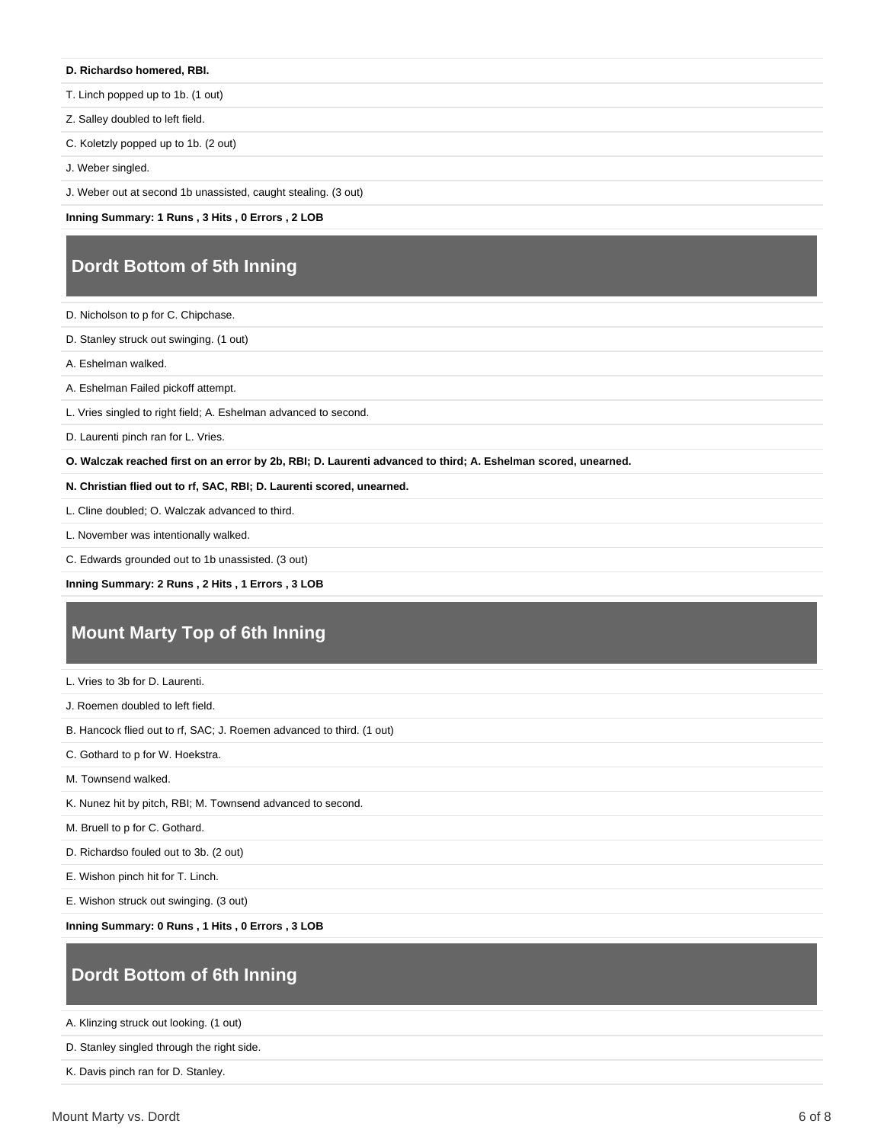**D. Richardso homered, RBI.**

T. Linch popped up to 1b. (1 out)

Z. Salley doubled to left field.

C. Koletzly popped up to 1b. (2 out)

J. Weber singled.

J. Weber out at second 1b unassisted, caught stealing. (3 out)

**Inning Summary: 1 Runs , 3 Hits , 0 Errors , 2 LOB**

# **Dordt Bottom of 5th Inning**

D. Nicholson to p for C. Chipchase.

D. Stanley struck out swinging. (1 out)

A. Eshelman walked.

- A. Eshelman Failed pickoff attempt.
- L. Vries singled to right field; A. Eshelman advanced to second.

D. Laurenti pinch ran for L. Vries.

**O. Walczak reached first on an error by 2b, RBI; D. Laurenti advanced to third; A. Eshelman scored, unearned.**

#### **N. Christian flied out to rf, SAC, RBI; D. Laurenti scored, unearned.**

L. Cline doubled; O. Walczak advanced to third.

L. November was intentionally walked.

C. Edwards grounded out to 1b unassisted. (3 out)

**Inning Summary: 2 Runs , 2 Hits , 1 Errors , 3 LOB**

# **Mount Marty Top of 6th Inning**

L. Vries to 3b for D. Laurenti.

J. Roemen doubled to left field.

B. Hancock flied out to rf, SAC; J. Roemen advanced to third. (1 out)

C. Gothard to p for W. Hoekstra.

M. Townsend walked.

K. Nunez hit by pitch, RBI; M. Townsend advanced to second.

M. Bruell to p for C. Gothard.

D. Richardso fouled out to 3b. (2 out)

E. Wishon pinch hit for T. Linch.

E. Wishon struck out swinging. (3 out)

**Inning Summary: 0 Runs , 1 Hits , 0 Errors , 3 LOB**

### **Dordt Bottom of 6th Inning**

A. Klinzing struck out looking. (1 out)

D. Stanley singled through the right side.

K. Davis pinch ran for D. Stanley.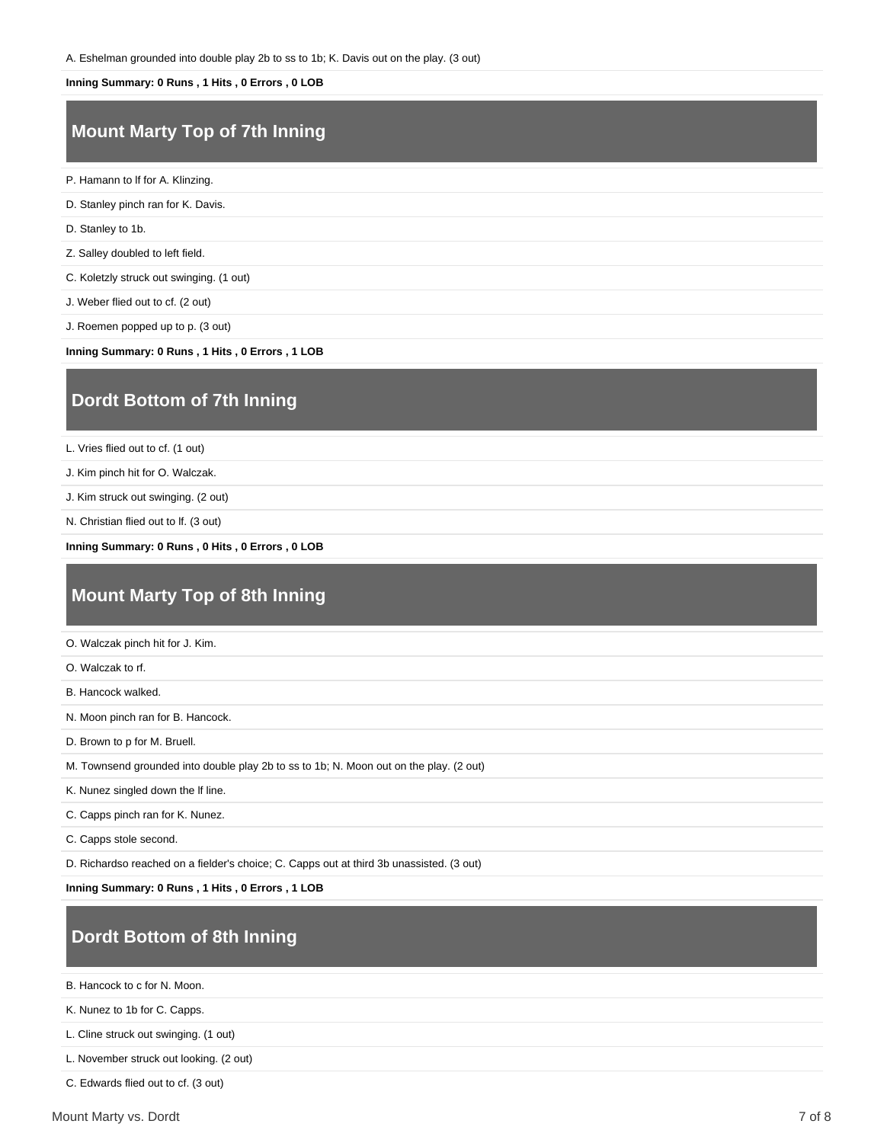#### **Inning Summary: 0 Runs , 1 Hits , 0 Errors , 0 LOB**

# **Mount Marty Top of 7th Inning**

P. Hamann to lf for A. Klinzing.

- D. Stanley pinch ran for K. Davis.
- D. Stanley to 1b.
- Z. Salley doubled to left field.
- C. Koletzly struck out swinging. (1 out)
- J. Weber flied out to cf. (2 out)
- J. Roemen popped up to p. (3 out)

**Inning Summary: 0 Runs , 1 Hits , 0 Errors , 1 LOB**

### **Dordt Bottom of 7th Inning**

L. Vries flied out to cf. (1 out)

- J. Kim pinch hit for O. Walczak.
- J. Kim struck out swinging. (2 out)
- N. Christian flied out to lf. (3 out)

**Inning Summary: 0 Runs , 0 Hits , 0 Errors , 0 LOB**

### **Mount Marty Top of 8th Inning**

O. Walczak pinch hit for J. Kim.

O. Walczak to rf.

B. Hancock walked.

N. Moon pinch ran for B. Hancock.

- D. Brown to p for M. Bruell.
- M. Townsend grounded into double play 2b to ss to 1b; N. Moon out on the play. (2 out)

K. Nunez singled down the lf line.

C. Capps pinch ran for K. Nunez.

C. Capps stole second.

D. Richardso reached on a fielder's choice; C. Capps out at third 3b unassisted. (3 out)

**Inning Summary: 0 Runs , 1 Hits , 0 Errors , 1 LOB**

### **Dordt Bottom of 8th Inning**

B. Hancock to c for N. Moon.

K. Nunez to 1b for C. Capps.

L. Cline struck out swinging. (1 out)

L. November struck out looking. (2 out)

C. Edwards flied out to cf. (3 out)